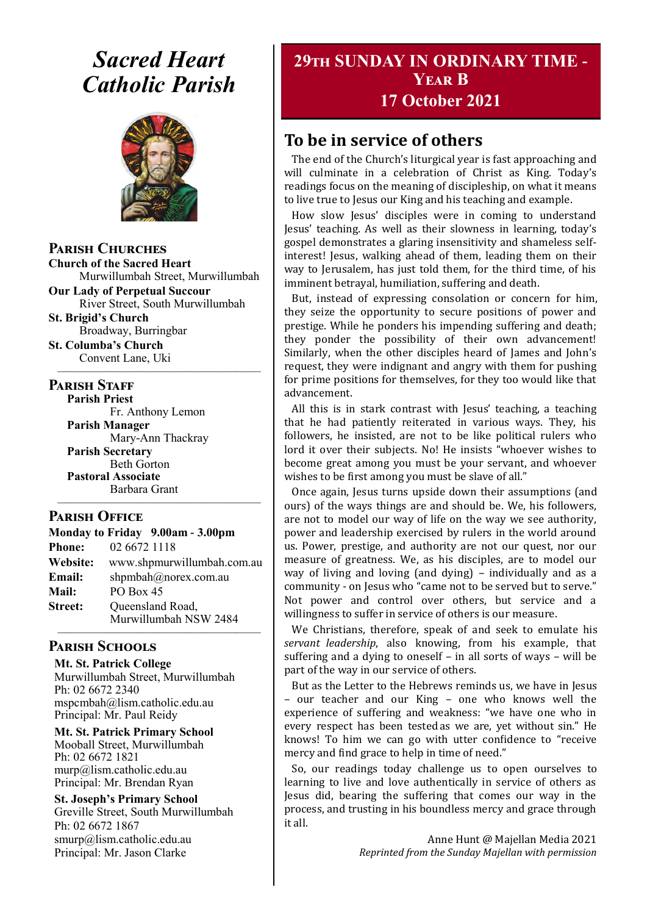# *Sacred Heart Catholic Parish*



**Parish Churches**

**Church of the Sacred Heart** Murwillumbah Street, Murwillumbah

**Our Lady of Perpetual Succour** River Street, South Murwillumbah

**St. Brigid's Church** Broadway, Burringbar

**St. Columba's Church** Convent Lane, Uki —————————————————

#### **PARISH STAFF**

**Parish Priest**

Fr. Anthony Lemon **Parish Manager** Mary-Ann Thackray **Parish Secretary** Beth Gorton **Pastoral Associate** Barbara Grant

#### **Parish Office**

| Monday to Friday 9.00am - 3.00pm |                                           |
|----------------------------------|-------------------------------------------|
| <b>Phone:</b>                    | 02 6672 1118                              |
| Website:                         | www.shpmurwillumbah.com.au                |
| Email:                           | shpmbah@norex.com.au                      |
| <b>Mail:</b>                     | <b>PO Box 45</b>                          |
| <b>Street:</b>                   | Queensland Road,<br>Murwillumbah NSW 2484 |
|                                  |                                           |

—————————————————

#### **Parish Schools**

**Mt. St. Patrick College** Murwillumbah Street, Murwillumbah Ph: 02 6672 2340 mspcmbah@lism.catholic.edu.au Principal: Mr. Paul Reidy

**Mt. St. Patrick Primary School** Mooball Street, Murwillumbah Ph: 02 6672 1821 murp@lism.catholic.edu.au Principal: Mr. Brendan Ryan

**St. Joseph's Primary School** Greville Street, South Murwillumbah Ph: 02 6672 1867 smurp@lism.catholic.edu.au Principal: Mr. Jason Clarke

# **29th SUNDAY IN ORDINARY TIME - Year B 17 October 2021**

# **To be in service of others**

The end of the Church's liturgical year is fast approaching and will culminate in a celebration of Christ as King. Today's readings focus on the meaning of discipleship, on what it means to live true to Jesus our King and his teaching and example.

How slow Jesus' disciples were in coming to understand Jesus' teaching. As well as their slowness in learning, today's gospel demonstrates a glaring insensitivity and shameless selfinterest! Jesus, walking ahead of them, leading them on their way to Jerusalem, has just told them, for the third time, of his imminent betrayal, humiliation, suffering and death.

But, instead of expressing consolation or concern for him, they seize the opportunity to secure positions of power and prestige. While he ponders his impending suffering and death; they ponder the possibility of their own advancement! Similarly, when the other disciples heard of James and John's request, they were indignant and angry with them for pushing for prime positions for themselves, for they too would like that advancement.

All this is in stark contrast with Jesus' teaching, a teaching that he had patiently reiterated in various ways. They, his followers, he insisted, are not to be like political rulers who lord it over their subjects. No! He insists "whoever wishes to become great among you must be your servant, and whoever wishes to be first among you must be slave of all."

Once again, Jesus turns upside down their assumptions (and ours) of the ways things are and should be. We, his followers, are not to model our way of life on the way we see authority, power and leadership exercised by rulers in the world around us. Power, prestige, and authority are not our quest, nor our measure of greatness. We, as his disciples, are to model our way of living and loving (and dying) – individually and as a community - on Jesus who "came not to be served but to serve." Not power and control over others, but service and a willingness to suffer in service of others is our measure.

We Christians, therefore, speak of and seek to emulate his *servant leadership*, also knowing, from his example, that suffering and a dying to oneself – in all sorts of ways – will be part of the way in our service of others.

But as the Letter to the Hebrews reminds us, we have in Jesus – our teacher and our King – one who knows well the experience of suffering and weakness: "we have one who in every respect has been tested as we are, yet without sin." He knows! To him we can go with utter confidence to "receive mercy and find grace to help in time of need."

So, our readings today challenge us to open ourselves to learning to live and love authentically in service of others as Jesus did, bearing the suffering that comes our way in the process, and trusting in his boundless mercy and grace through it all.

> Anne Hunt @ Majellan Media 2021 *Reprinted from the Sunday Majellan with permission*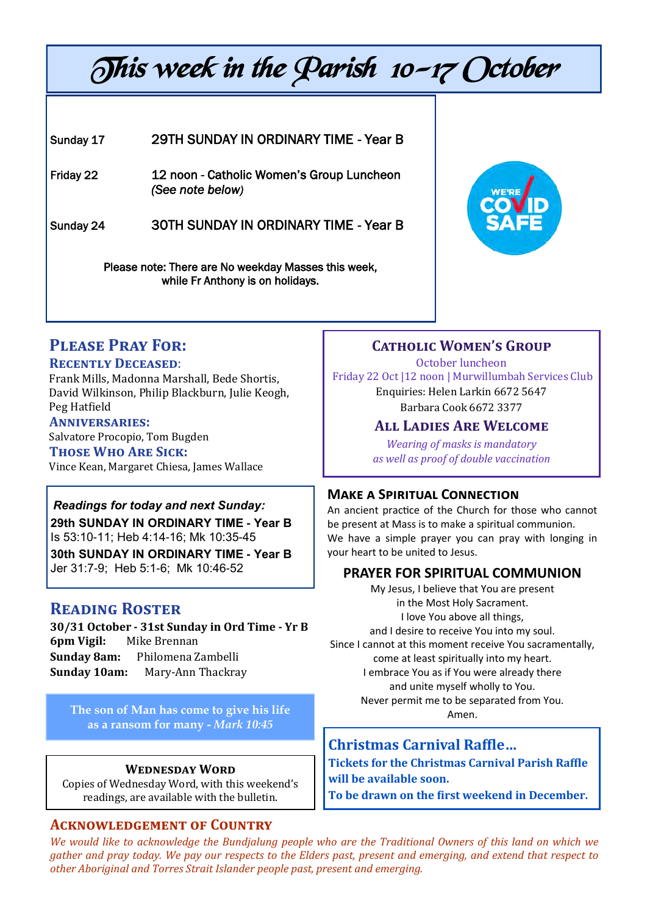# This week in the Parish 10-17 October

#### Sunday 17 29TH SUNDAY IN ORDINARY TIME - Year B

Friday 22 12 noon - Catholic Women's Group Luncheon *(See note below)*

Sunday 24 30TH SUNDAY IN ORDINARY TIME - Year B

Please note: There are No weekday Masses this week, while Fr Anthony is on holidays.



# **Please Pray For:**

#### **Recently Deceased**:

Frank Mills, Madonna Marshall, Bede Shortis, David Wilkinson, Philip Blackburn, Julie Keogh, Peg Hatfield

**Anniversaries:**  Salvatore Procopio, Tom Bugden

**Those Who Are Sick:**  Vince Kean, Margaret Chiesa, James Wallace

# *Readings for today and next Sunday:*

**29th SUNDAY IN ORDINARY TIME - Year B**  Is 53:10-11; Heb 4:14-16; Mk 10:35-45

**30th SUNDAY IN ORDINARY TIME - Year B**  Jer 31:7-9; Heb 5:1-6; Mk 10:46-52

# **Reading Roster**

**30/31 October - 31st Sunday in Ord Time - Yr B 6pm Vigil:** Mike Brennan **Sunday 8am:** Philomena Zambelli **Sunday 10am:** Mary-Ann Thackray

The son of Man has come to give his life **the sound that the component of the sound of Man** Amen. **as a ransom for many -** *Mark 10:45*

#### **Wednesday Word**

Copies of Wednesday Word, with this weekend's readings, are available with the bulletin.

#### **Acknowledgement of Country**

# **Catholic Women's Group**

October luncheon Friday 22 Oct |12 noon | Murwillumbah Services Club Enquiries: Helen Larkin 6672 5647 Barbara Cook 6672 3377

### **All Ladies Are Welcome**

*Wearing of masks is mandatory as well as proof of double vaccination*

#### **Make a Spiritual Connection**

An ancient practice of the Church for those who cannot be present at Mass is to make a spiritual communion. We have a simple prayer you can pray with longing in your heart to be united to Jesus.

# **PRAYER FOR SPIRITUAL COMMUNION**

My Jesus, I believe that You are present in the Most Holy Sacrament. I love You above all things, and I desire to receive You into my soul. Since I cannot at this moment receive You sacramentally, come at least spiritually into my heart. I embrace You as if You were already there and unite myself wholly to You. Never permit me to be separated from You.

# **Christmas Carnival Raffle…**

**Tickets for the Christmas Carnival Parish Raffle will be available soon.** 

**To be drawn on the first weekend in December.**

*We would like to acknowledge the Bundjalung people who are the Traditional Owners of this land on which we gather and pray today. We pay our respects to the Elders past, present and emerging, and extend that respect to other Aboriginal and Torres Strait Islander people past, present and emerging.*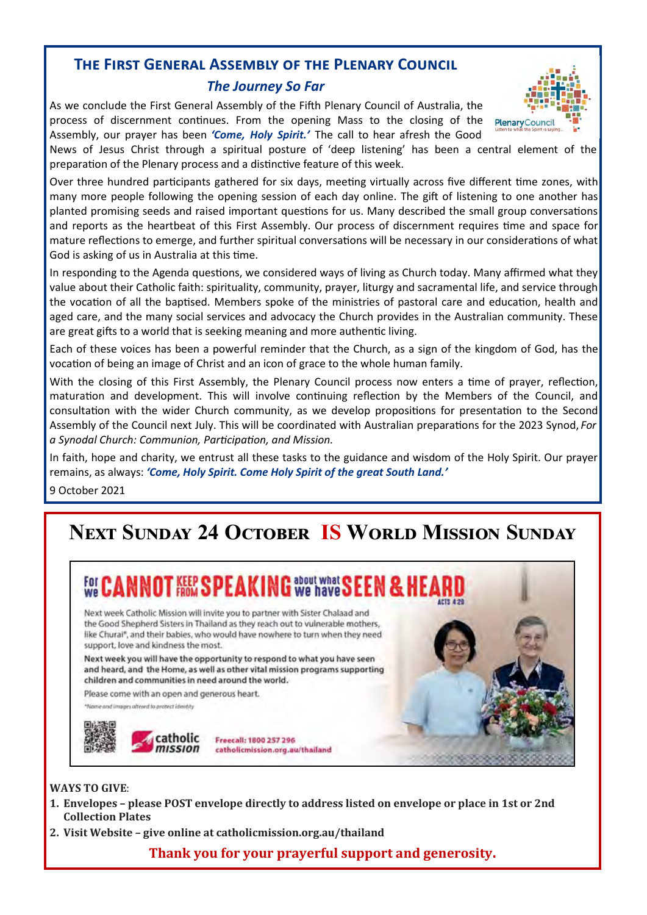# **The First General Assembly of the Plenary Council**

#### *The Journey So Far*

As we conclude the First General Assembly of the Fifth Plenary Council of Australia, the process of discernment continues. From the opening Mass to the closing of the Assembly, our prayer has been *'Come, Holy Spirit.'* The call to hear afresh the Good

News of Jesus Christ through a spiritual posture of 'deep listening' has been a central element of the preparation of the Plenary process and a distinctive feature of this week.

Over three hundred participants gathered for six days, meeting virtually across five different time zones, with many more people following the opening session of each day online. The gift of listening to one another has planted promising seeds and raised important questions for us. Many described the small group conversations and reports as the heartbeat of this First Assembly. Our process of discernment requires time and space for mature reflections to emerge, and further spiritual conversations will be necessary in our considerations of what God is asking of us in Australia at this time.

In responding to the Agenda questions, we considered ways of living as Church today. Many affirmed what they value about their Catholic faith: spirituality, community, prayer, liturgy and sacramental life, and service through the vocation of all the baptised. Members spoke of the ministries of pastoral care and education, health and aged care, and the many social services and advocacy the Church provides in the Australian community. These are great gifts to a world that is seeking meaning and more authentic living.

Each of these voices has been a powerful reminder that the Church, as a sign of the kingdom of God, has the vocation of being an image of Christ and an icon of grace to the whole human family.

With the closing of this First Assembly, the Plenary Council process now enters a time of prayer, reflection, maturation and development. This will involve continuing reflection by the Members of the Council, and consultation with the wider Church community, as we develop propositions for presentation to the Second Assembly of the Council next July. This will be coordinated with Australian preparations for the 2023 Synod, *For a Synodal Church: Communion, Participation, and Mission.* 

In faith, hope and charity, we entrust all these tasks to the guidance and wisdom of the Holy Spirit. Our prayer remains, as always: *'Come, Holy Spirit. Come Holy Spirit of the great South Land.'* 

9 October 2021

# **Next Sunday 24 October IS World Mission Sunday**



#### **WAYS TO GIVE**:

- **1. Envelopes – please POST envelope directly to address listed on envelope or place in 1st or 2nd Collection Plates**
- **2. Visit Website – give online at catholicmission.org.au/thailand**

#### **Thank you for your prayerful support and generosity.**